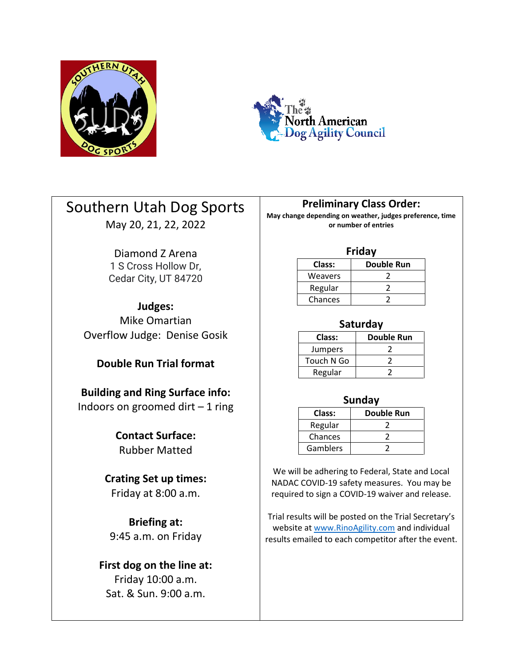



# Southern Utah Dog Sports May 20, 21, 22, 2022

Diamond Z Arena 1 S Cross Hollow Dr,

Cedar City, UT 84720

**Judges:** Mike Omartian Overflow Judge: Denise Gosik

### **Double Run Trial format**

**Building and Ring Surface info:** Indoors on groomed dirt  $-1$  ring

> **Contact Surface:** Rubber Matted

# **Crating Set up times:**

Friday at 8:00 a.m.

**Briefing at:** 9:45 a.m. on Friday

# **First dog on the line at:**

Friday 10:00 a.m. Sat. & Sun. 9:00 a.m.

### **Preliminary Class Order:**

**May change depending on weather, judges preference, time or number of entries**

#### **Friday**

| Class:  | Double Run |  |  |  |  |
|---------|------------|--|--|--|--|
| Weavers |            |  |  |  |  |
| Regular |            |  |  |  |  |
| Chances |            |  |  |  |  |

### **Saturday**

| Class:         | <b>Double Run</b> |  |  |
|----------------|-------------------|--|--|
| <b>Jumpers</b> |                   |  |  |
| Touch N Go     |                   |  |  |
| Regular        |                   |  |  |

### **Sunday**

| Class:   | Double Run |
|----------|------------|
| Regular  |            |
| Chances  |            |
| Gamblers |            |

We will be adhering to Federal, State and Local NADAC COVID-19 safety measures. You may be required to sign a COVID-19 waiver and release.

Trial results will be posted on the Trial Secretary's website at [www.RinoAgility.com](http://www.rinoagility.com/) and individual results emailed to each competitor after the event.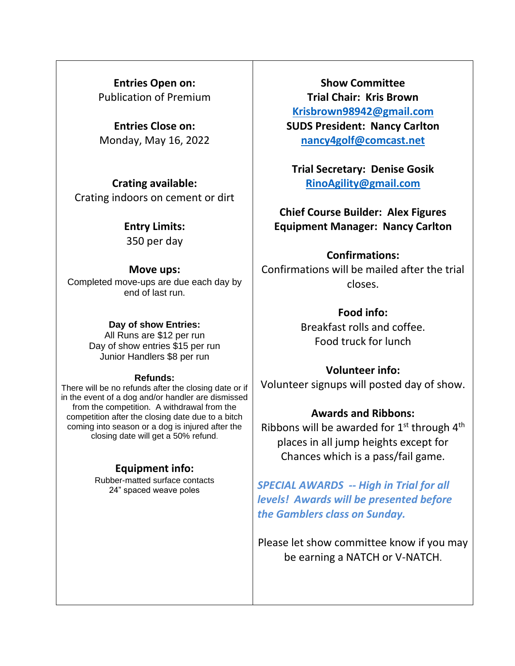**Entries Open on:** Publication of Premium

**Entries Close on:** Monday, May 16, 2022

**Crating available:** Crating indoors on cement or dirt

### **Entry Limits:**

350 per day

### **Move ups:**

Completed move-ups are due each day by end of last run.

### **Day of show Entries:**

All Runs are \$12 per run Day of show entries \$15 per run Junior Handlers \$8 per run

#### **Refunds:**

There will be no refunds after the closing date or if in the event of a dog and/or handler are dismissed from the competition. A withdrawal from the competition after the closing date due to a bitch coming into season or a dog is injured after the closing date will get a 50% refund.

### **Equipment info:**

Rubber-matted surface contacts 24" spaced weave poles

**Show Committee Trial Chair: Kris Brown [Krisbrown98942@gmail.com](mailto:Krisbrown98942@gmail.com) SUDS President: Nancy Carlton [nancy4golf@comcast.net](mailto:nancy4golf@comcast.net)**

**Trial Secretary: Denise Gosik [RinoAgility@gmail.com](mailto:RinoAgility@gmail.com)**

**Chief Course Builder: Alex Figures Equipment Manager: Nancy Carlton**

### **Confirmations:**

Confirmations will be mailed after the trial closes.

# **Food info:**

Breakfast rolls and coffee. Food truck for lunch

# **Volunteer info:**

Volunteer signups will posted day of show.

### **Awards and Ribbons:**

Ribbons will be awarded for  $1<sup>st</sup>$  through  $4<sup>th</sup>$ places in all jump heights except for Chances which is a pass/fail game.

*SPECIAL AWARDS -- High in Trial for all levels! Awards will be presented before the Gamblers class on Sunday.* 

Please let show committee know if you may be earning a NATCH or V-NATCH.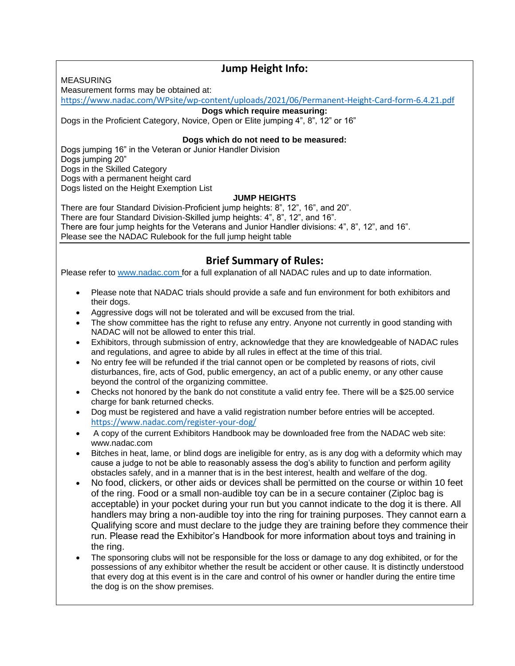MEASURING

### **Jump Height Info:**

Measurement forms may be obtained at:

<https://www.nadac.com/WPsite/wp-content/uploads/2021/06/Permanent-Height-Card-form-6.4.21.pdf>

#### **Dogs which require measuring:**

Dogs in the Proficient Category, Novice, Open or Elite jumping 4", 8", 12" or 16"

#### **Dogs which do not need to be measured:**

Dogs jumping 16" in the Veteran or Junior Handler Division Dogs jumping 20" Dogs in the Skilled Category Dogs with a permanent height card Dogs listed on the Height Exemption List

#### **JUMP HEIGHTS**

There are four Standard Division-Proficient jump heights: 8", 12", 16", and 20". There are four Standard Division-Skilled jump heights: 4", 8", 12", and 16". There are four jump heights for the Veterans and Junior Handler divisions: 4", 8", 12", and 16". Please see the NADAC Rulebook for the full jump height table

### **Brief Summary of Rules:**

Please refer to [www.nadac.com](http://www.nadac.com/) for a full explanation of all NADAC rules and up to date information.

- Please note that NADAC trials should provide a safe and fun environment for both exhibitors and their dogs.
- Aggressive dogs will not be tolerated and will be excused from the trial.
- The show committee has the right to refuse any entry. Anyone not currently in good standing with NADAC will not be allowed to enter this trial.
- Exhibitors, through submission of entry, acknowledge that they are knowledgeable of NADAC rules and regulations, and agree to abide by all rules in effect at the time of this trial.
- No entry fee will be refunded if the trial cannot open or be completed by reasons of riots, civil disturbances, fire, acts of God, public emergency, an act of a public enemy, or any other cause beyond the control of the organizing committee.
- Checks not honored by the bank do not constitute a valid entry fee. There will be a \$25.00 service charge for bank returned checks.
- Dog must be registered and have a valid registration number before entries will be accepted. <https://www.nadac.com/register-your-dog/>
- A copy of the current Exhibitors Handbook may be downloaded free from the NADAC web site: www.nadac.com
- Bitches in heat, lame, or blind dogs are ineligible for entry, as is any dog with a deformity which may cause a judge to not be able to reasonably assess the dog's ability to function and perform agility obstacles safely, and in a manner that is in the best interest, health and welfare of the dog.
- No food, clickers, or other aids or devices shall be permitted on the course or within 10 feet of the ring. Food or a small non-audible toy can be in a secure container (Ziploc bag is acceptable) in your pocket during your run but you cannot indicate to the dog it is there. All handlers may bring a non-audible toy into the ring for training purposes. They cannot earn a Qualifying score and must declare to the judge they are training before they commence their run. Please read the Exhibitor's Handbook for more information about toys and training in the ring.
- The sponsoring clubs will not be responsible for the loss or damage to any dog exhibited, or for the possessions of any exhibitor whether the result be accident or other cause. It is distinctly understood that every dog at this event is in the care and control of his owner or handler during the entire time the dog is on the show premises.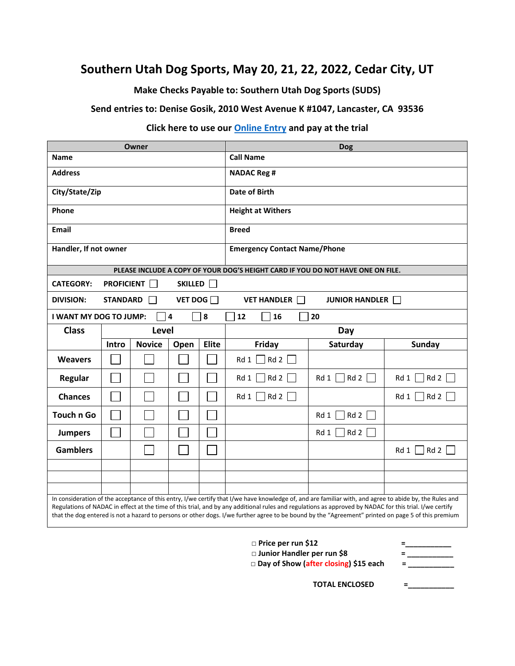### **Southern Utah Dog Sports, May 20, 21, 22, 2022, Cedar City, UT**

**Make Checks Payable to: Southern Utah Dog Sports (SUDS)**

**Send entries to: Denise Gosik, 2010 West Avenue K #1047, Lancaster, CA 93536**

### **Click here to use our [Online Entry](https://forms.gle/KDwP6HfYqKKRd3YY9) and pay at the trial**

| Owner                                                     |                 |               |                |              | <b>Dog</b>                                                                                                                                              |                         |                         |  |  |  |
|-----------------------------------------------------------|-----------------|---------------|----------------|--------------|---------------------------------------------------------------------------------------------------------------------------------------------------------|-------------------------|-------------------------|--|--|--|
| <b>Name</b>                                               |                 |               |                |              | <b>Call Name</b>                                                                                                                                        |                         |                         |  |  |  |
| <b>Address</b>                                            |                 |               |                |              | <b>NADAC Reg #</b>                                                                                                                                      |                         |                         |  |  |  |
| City/State/Zip                                            |                 |               |                |              | <b>Date of Birth</b>                                                                                                                                    |                         |                         |  |  |  |
| Phone                                                     |                 |               |                |              | <b>Height at Withers</b>                                                                                                                                |                         |                         |  |  |  |
| <b>Email</b>                                              |                 |               |                |              | <b>Breed</b>                                                                                                                                            |                         |                         |  |  |  |
| Handler, If not owner                                     |                 |               |                |              | <b>Emergency Contact Name/Phone</b>                                                                                                                     |                         |                         |  |  |  |
|                                                           |                 |               |                |              | PLEASE INCLUDE A COPY OF YOUR DOG'S HEIGHT CARD IF YOU DO NOT HAVE ONE ON FILE.                                                                         |                         |                         |  |  |  |
| <b>CATEGORY:</b><br><b>PROFICIENT</b><br>SKILLED <b>F</b> |                 |               |                |              |                                                                                                                                                         |                         |                         |  |  |  |
| <b>DIVISION:</b>                                          | <b>STANDARD</b> |               | VET DOG $\Box$ |              | <b>VET HANDLER</b>                                                                                                                                      | JUNIOR HANDLER          |                         |  |  |  |
| I WANT MY DOG TO JUMP:                                    |                 |               | 4              | 8            | 12<br>16                                                                                                                                                | 20                      |                         |  |  |  |
| <b>Class</b>                                              |                 | Level         |                |              | Day                                                                                                                                                     |                         |                         |  |  |  |
|                                                           | Intro           | <b>Novice</b> | Open           | <b>Elite</b> | Friday                                                                                                                                                  | Saturday                | Sunday                  |  |  |  |
| <b>Weavers</b>                                            |                 |               |                |              | $Rd1$ Rd 2                                                                                                                                              |                         |                         |  |  |  |
|                                                           |                 |               |                |              |                                                                                                                                                         |                         |                         |  |  |  |
| <b>Regular</b>                                            |                 |               |                |              | Rd 2<br>Rd1                                                                                                                                             | Rd 1 $\Box$ Rd 2 $\Box$ | Rd 1 $\Box$ Rd 2 $\Box$ |  |  |  |
| <b>Chances</b>                                            |                 |               |                |              | $Rd1$   Rd 2                                                                                                                                            |                         | $Rd1$   Rd 2            |  |  |  |
| <b>Touch n Go</b>                                         |                 |               |                |              |                                                                                                                                                         | Rd 2<br>$Rd1$           |                         |  |  |  |
| <b>Jumpers</b>                                            |                 |               |                |              |                                                                                                                                                         | $]$ Rd 2<br>Rd 1        |                         |  |  |  |
| <b>Gamblers</b>                                           |                 |               |                |              |                                                                                                                                                         |                         | Rd1<br> Rd2             |  |  |  |
|                                                           |                 |               |                |              |                                                                                                                                                         |                         |                         |  |  |  |
|                                                           |                 |               |                |              |                                                                                                                                                         |                         |                         |  |  |  |
|                                                           |                 |               |                |              | In consideration of the acceptance of this entry, I/we certify that I/we have knowledge of, and are familiar with, and agree to abide by, the Rules and |                         |                         |  |  |  |

- **□ Price per run \$12 =\_\_\_\_\_\_\_\_\_\_\_**
	-
- □ **Junior Handler per run \$8** = \_\_\_\_\_\_\_\_\_\_<br>□ Day of Show (after closing) \$15 each =  $\Box$  **Day of Show (after closing) \$15 each** 
	-

**TOTAL ENCLOSED =\_\_\_\_\_\_\_\_\_\_\_**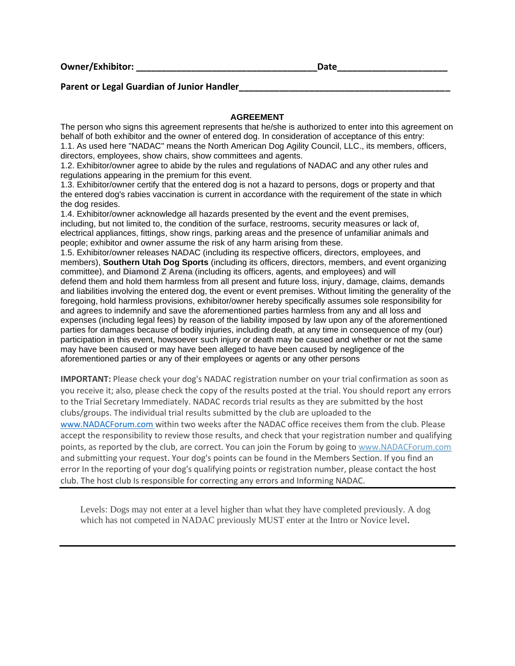**Owner/Exhibitor: \_\_\_\_\_\_\_\_\_\_\_\_\_\_\_\_\_\_\_\_\_\_\_\_\_\_\_\_\_\_\_\_\_\_\_\_Date\_\_\_\_\_\_\_\_\_\_\_\_\_\_\_\_\_\_\_\_\_\_**

#### Parent or Legal Guardian of Junior Handler

#### **AGREEMENT**

The person who signs this agreement represents that he/she is authorized to enter into this agreement on behalf of both exhibitor and the owner of entered dog. In consideration of acceptance of this entry: 1.1. As used here "NADAC" means the North American Dog Agility Council, LLC., its members, officers, directors, employees, show chairs, show committees and agents.

1.2. Exhibitor/owner agree to abide by the rules and regulations of NADAC and any other rules and regulations appearing in the premium for this event.

1.3. Exhibitor/owner certify that the entered dog is not a hazard to persons, dogs or property and that the entered dog's rabies vaccination is current in accordance with the requirement of the state in which the dog resides.

1.4. Exhibitor/owner acknowledge all hazards presented by the event and the event premises, including, but not limited to, the condition of the surface, restrooms, security measures or lack of, electrical appliances, fittings, show rings, parking areas and the presence of unfamiliar animals and people; exhibitor and owner assume the risk of any harm arising from these.

1.5. Exhibitor/owner releases NADAC (including its respective officers, directors, employees, and members), **Southern Utah Dog Sports** (including its officers, directors, members, and event organizing committee), and **Diamond Z Arena** (including its officers, agents, and employees) and will defend them and hold them harmless from all present and future loss, injury, damage, claims, demands and liabilities involving the entered dog, the event or event premises. Without limiting the generality of the foregoing, hold harmless provisions, exhibitor/owner hereby specifically assumes sole responsibility for and agrees to indemnify and save the aforementioned parties harmless from any and all loss and expenses (including legal fees) by reason of the liability imposed by law upon any of the aforementioned parties for damages because of bodily injuries, including death, at any time in consequence of my (our) participation in this event, howsoever such injury or death may be caused and whether or not the same may have been caused or may have been alleged to have been caused by negligence of the aforementioned parties or any of their employees or agents or any other persons

**IMPORTANT:** Please check your dog's NADAC registration number on your trial confirmation as soon as you receive it; also, please check the copy of the results posted at the trial. You should report any errors to the Trial Secretary Immediately. NADAC records trial results as they are submitted by the host clubs/groups. The individual trial results submitted by the club are uploaded to the [www.NADACForum.com](http://www.nadacforum.com/) within two weeks after the NADAC office receives them from the club. Please accept the responsibility to review those results, and check that your registration number and qualifying points, as reported by the club, are correct. You can join the Forum by going to [www.NADACForum.com](http://www.nadacforum.com/) and submitting your request. Your dog's points can be found in the Members Section. If you find an error In the reporting of your dog's qualifying points or registration number, please contact the host club. The host club Is responsible for correcting any errors and Informing NADAC.

Levels: Dogs may not enter at a level higher than what they have completed previously. A dog which has not competed in NADAC previously MUST enter at the Intro or Novice level.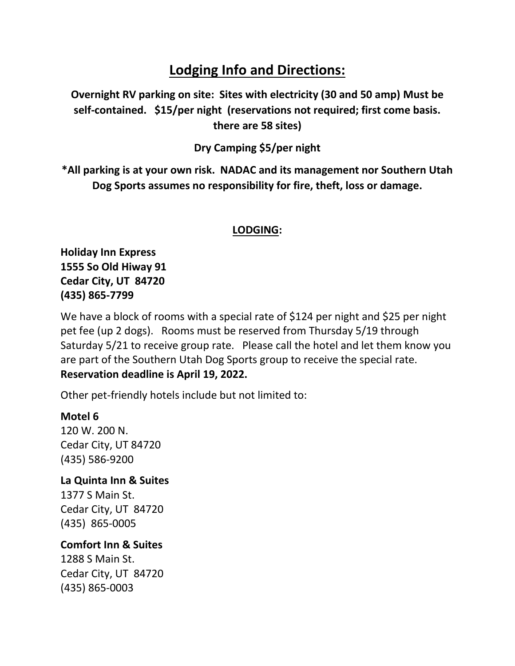# **Lodging Info and Directions:**

**Overnight RV parking on site: Sites with electricity (30 and 50 amp) Must be self-contained. \$15/per night (reservations not required; first come basis. there are 58 sites)**

**Dry Camping \$5/per night**

**\*All parking is at your own risk. NADAC and its management nor Southern Utah Dog Sports assumes no responsibility for fire, theft, loss or damage.**

### **LODGING:**

**Holiday Inn Express 1555 So Old Hiway 91 Cedar City, UT 84720 (435) 865-7799**

We have a block of rooms with a special rate of \$124 per night and \$25 per night pet fee (up 2 dogs). Rooms must be reserved from Thursday 5/19 through Saturday 5/21 to receive group rate. Please call the hotel and let them know you are part of the Southern Utah Dog Sports group to receive the special rate. **Reservation deadline is April 19, 2022.**

Other pet-friendly hotels include but not limited to:

### **Motel 6**

120 W. 200 N. Cedar City, UT 84720 (435) 586-9200

### **La Quinta Inn & Suites** 1377 S Main St.

Cedar City, UT 84720 (435) 865-0005

### **Comfort Inn & Suites**

1288 S Main St. Cedar City, UT 84720 (435) 865-0003